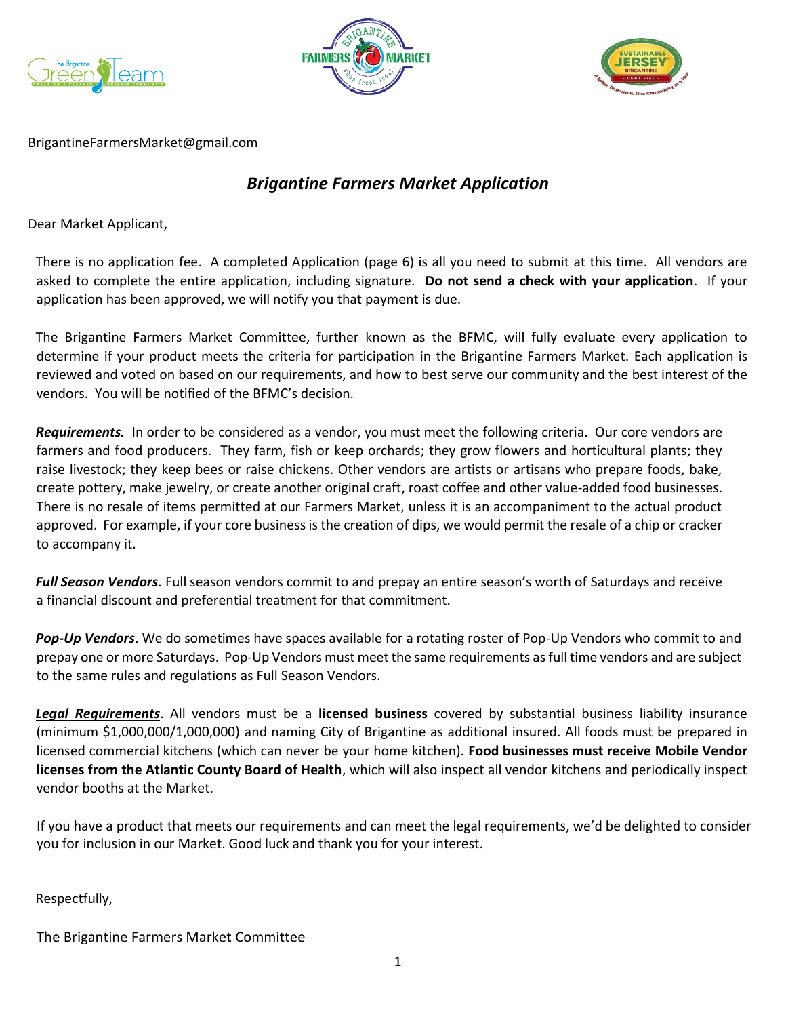





BrigantineFarmersMarket@gmail.com

# *Brigantine Farmers Market Application*

Dear Market Applicant,

There is no application fee. A completed Application (page 6) is all you need to submit at this time. All vendors are asked to complete the entire application, including signature. **Do not send a check with your application**. If your application has been approved, we will notify you that payment is due.

The Brigantine Farmers Market Committee, further known as the BFMC, will fully evaluate every application to determine if your product meets the criteria for participation in the Brigantine Farmers Market. Each application is reviewed and voted on based on our requirements, and how to best serve our community and the best interest of the vendors. You will be notified of the BFMC's decision.

*Requirements.* In order to be considered as a vendor, you must meet the following criteria. Our core vendors are farmers and food producers. They farm, fish or keep orchards; they grow flowers and horticultural plants; they raise livestock; they keep bees or raise chickens. Other vendors are artists or artisans who prepare foods, bake, create pottery, make jewelry, or create another original craft, roast coffee and other value-added food businesses. There is no resale of items permitted at our Farmers Market, unless it is an accompaniment to the actual product approved. For example, if your core business is the creation of dips, we would permit the resale of a chip or cracker to accompany it.

*Full Season Vendors*. Full season vendors commit to and prepay an entire season's worth of Saturdays and receive a financial discount and preferential treatment for that commitment.

*Pop-Up Vendors*. We do sometimes have spaces available for a rotating roster of Pop-Up Vendors who commit to and prepay one or more Saturdays. Pop-Up Vendors must meet the same requirements as full time vendors and are subject to the same rules and regulations as Full Season Vendors.

*Legal Requirements*. All vendors must be a **licensed business** covered by substantial business liability insurance (minimum \$1,000,000/1,000,000) and naming City of Brigantine as additional insured. All foods must be prepared in licensed commercial kitchens (which can never be your home kitchen). **Food businesses must receive Mobile Vendor licenses from the Atlantic County Board of Health**, which will also inspect all vendor kitchens and periodically inspect vendor booths at the Market.

If you have a product that meets our requirements and can meet the legal requirements, we'd be delighted to consider you for inclusion in our Market. Good luck and thank you for your interest.

Respectfully,

The Brigantine Farmers Market Committee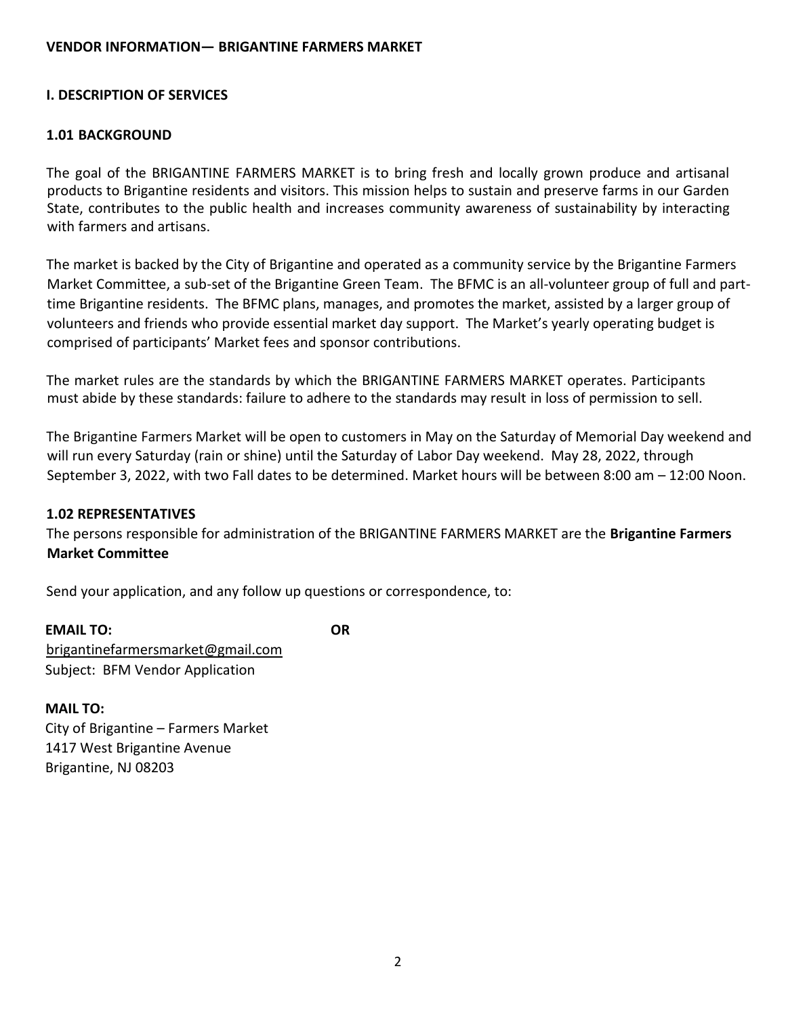#### **I. DESCRIPTION OF SERVICES**

#### **1.01 BACKGROUND**

The goal of the BRIGANTINE FARMERS MARKET is to bring fresh and locally grown produce and artisanal products to Brigantine residents and visitors. This mission helps to sustain and preserve farms in our Garden State, contributes to the public health and increases community awareness of sustainability by interacting with farmers and artisans.

The market is backed by the City of Brigantine and operated as a community service by the Brigantine Farmers Market Committee, a sub-set of the Brigantine Green Team. The BFMC is an all-volunteer group of full and parttime Brigantine residents. The BFMC plans, manages, and promotes the market, assisted by a larger group of volunteers and friends who provide essential market day support. The Market's yearly operating budget is comprised of participants' Market fees and sponsor contributions.

The market rules are the standards by which the BRIGANTINE FARMERS MARKET operates. Participants must abide by these standards: failure to adhere to the standards may result in loss of permission to sell.

The Brigantine Farmers Market will be open to customers in May on the Saturday of Memorial Day weekend and will run every Saturday (rain or shine) until the Saturday of Labor Day weekend. May 28, 2022, through September 3, 2022, with two Fall dates to be determined. Market hours will be between 8:00 am – 12:00 Noon.

#### **1.02 REPRESENTATIVES**

The persons responsible for administration of the BRIGANTINE FARMERS MARKET are the **Brigantine Farmers Market Committee**

Send your application, and any follow up questions or correspondence, to:

**EMAIL TO: OR**  brigantinefarmersmarket@gmail.com Subject: BFM Vendor Application

**MAIL TO:** 

City of Brigantine – Farmers Market 1417 West Brigantine Avenue Brigantine, NJ 08203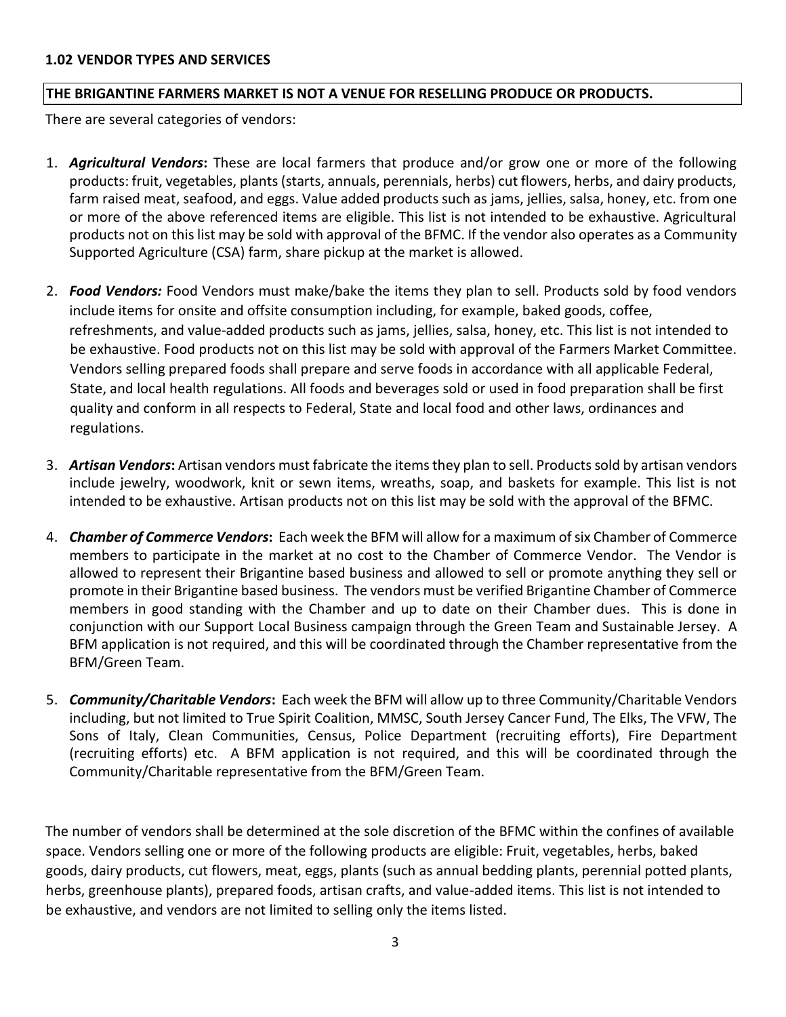#### **1.02 VENDOR TYPES AND SERVICES**

#### **THE BRIGANTINE FARMERS MARKET IS NOT A VENUE FOR RESELLING PRODUCE OR PRODUCTS.**

There are several categories of vendors:

- 1. *Agricultural Vendors***:** These are local farmers that produce and/or grow one or more of the following products: fruit, vegetables, plants (starts, annuals, perennials, herbs) cut flowers, herbs, and dairy products, farm raised meat, seafood, and eggs. Value added products such as jams, jellies, salsa, honey, etc. from one or more of the above referenced items are eligible. This list is not intended to be exhaustive. Agricultural products not on this list may be sold with approval of the BFMC. If the vendor also operates as a Community Supported Agriculture (CSA) farm, share pickup at the market is allowed.
- 2. *Food Vendors:* Food Vendors must make/bake the items they plan to sell. Products sold by food vendors include items for onsite and offsite consumption including, for example, baked goods, coffee, refreshments, and value-added products such as jams, jellies, salsa, honey, etc. This list is not intended to be exhaustive. Food products not on this list may be sold with approval of the Farmers Market Committee. Vendors selling prepared foods shall prepare and serve foods in accordance with all applicable Federal, State, and local health regulations. All foods and beverages sold or used in food preparation shall be first quality and conform in all respects to Federal, State and local food and other laws, ordinances and regulations.
- 3. *Artisan Vendors***:** Artisan vendors must fabricate the items they plan to sell. Products sold by artisan vendors include jewelry, woodwork, knit or sewn items, wreaths, soap, and baskets for example. This list is not intended to be exhaustive. Artisan products not on this list may be sold with the approval of the BFMC.
- 4. *Chamber of Commerce Vendors***:** Each week the BFM will allow for a maximum of six Chamber of Commerce members to participate in the market at no cost to the Chamber of Commerce Vendor. The Vendor is allowed to represent their Brigantine based business and allowed to sell or promote anything they sell or promote in their Brigantine based business. The vendors must be verified Brigantine Chamber of Commerce members in good standing with the Chamber and up to date on their Chamber dues. This is done in conjunction with our Support Local Business campaign through the Green Team and Sustainable Jersey. A BFM application is not required, and this will be coordinated through the Chamber representative from the BFM/Green Team.
- 5. *Community/Charitable Vendors***:** Each week the BFM will allow up to three Community/Charitable Vendors including, but not limited to True Spirit Coalition, MMSC, South Jersey Cancer Fund, The Elks, The VFW, The Sons of Italy, Clean Communities, Census, Police Department (recruiting efforts), Fire Department (recruiting efforts) etc. A BFM application is not required, and this will be coordinated through the Community/Charitable representative from the BFM/Green Team.

The number of vendors shall be determined at the sole discretion of the BFMC within the confines of available space. Vendors selling one or more of the following products are eligible: Fruit, vegetables, herbs, baked goods, dairy products, cut flowers, meat, eggs, plants (such as annual bedding plants, perennial potted plants, herbs, greenhouse plants), prepared foods, artisan crafts, and value-added items. This list is not intended to be exhaustive, and vendors are not limited to selling only the items listed.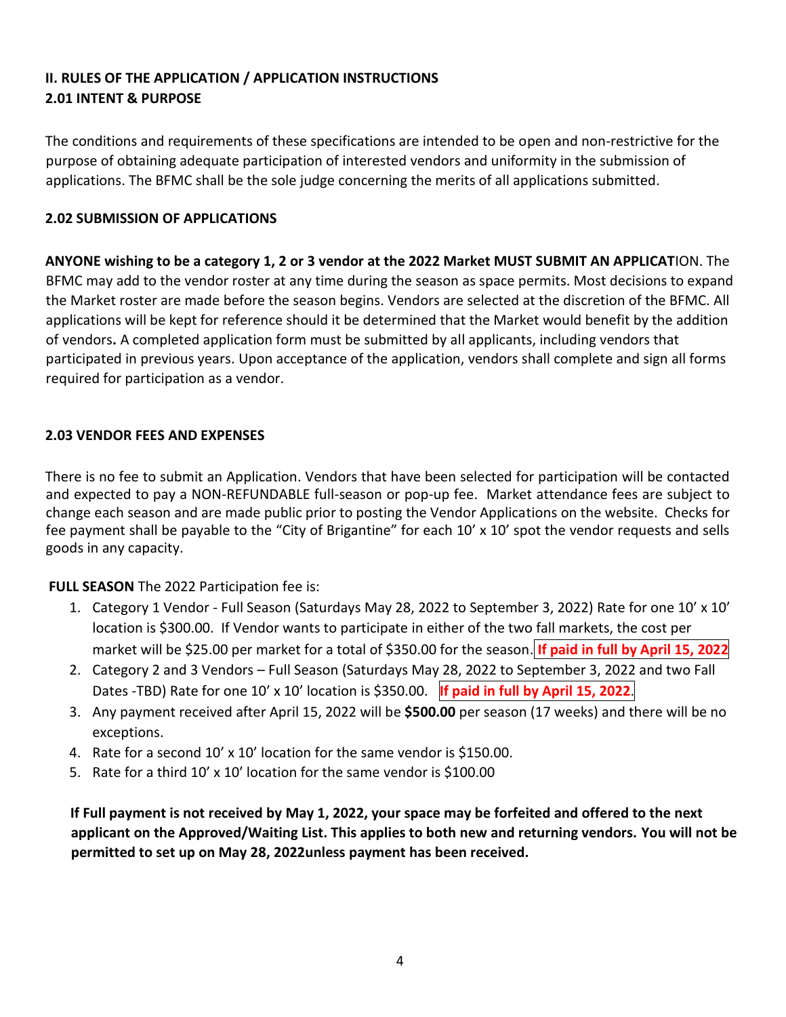## **II. RULES OF THE APPLICATION / APPLICATION INSTRUCTIONS 2.01 INTENT & PURPOSE**

The conditions and requirements of these specifications are intended to be open and non-restrictive for the purpose of obtaining adequate participation of interested vendors and uniformity in the submission of applications. The BFMC shall be the sole judge concerning the merits of all applications submitted.

### **2.02 SUBMISSION OF APPLICATIONS**

**ANYONE wishing to be a category 1, 2 or 3 vendor at the 2022 Market MUST SUBMIT AN APPLICAT**ION. The BFMC may add to the vendor roster at any time during the season as space permits. Most decisions to expand the Market roster are made before the season begins. Vendors are selected at the discretion of the BFMC. All applications will be kept for reference should it be determined that the Market would benefit by the addition of vendors**.** A completed application form must be submitted by all applicants, including vendors that participated in previous years. Upon acceptance of the application, vendors shall complete and sign all forms required for participation as a vendor.

### **2.03 VENDOR FEES AND EXPENSES**

There is no fee to submit an Application. Vendors that have been selected for participation will be contacted and expected to pay a NON-REFUNDABLE full-season or pop-up fee. Market attendance fees are subject to change each season and are made public prior to posting the Vendor Applications on the website. Checks for fee payment shall be payable to the "City of Brigantine" for each 10' x 10' spot the vendor requests and sells goods in any capacity.

**FULL SEASON** The 2022 Participation fee is:

- 1. Category 1 Vendor Full Season (Saturdays May 28, 2022 to September 3, 2022) Rate for one 10' x 10' location is \$300.00. If Vendor wants to participate in either of the two fall markets, the cost per market will be \$25.00 per market for a total of \$350.00 for the season. **If paid in full by April 15, 2022**
- 2. Category 2 and 3 Vendors Full Season (Saturdays May 28, 2022 to September 3, 2022 and two Fall Dates -TBD) Rate for one 10' x 10' location is \$350.00. **If paid in full by April 15, 2022**.
- 3. Any payment received after April 15, 2022 will be **\$500.00** per season (17 weeks) and there will be no exceptions.
- 4. Rate for a second 10' x 10' location for the same vendor is \$150.00.
- 5. Rate for a third 10' x 10' location for the same vendor is \$100.00

**If Full payment is not received by May 1, 2022, your space may be forfeited and offered to the next applicant on the Approved/Waiting List. This applies to both new and returning vendors. You will not be permitted to set up on May 28, 2022unless payment has been received.**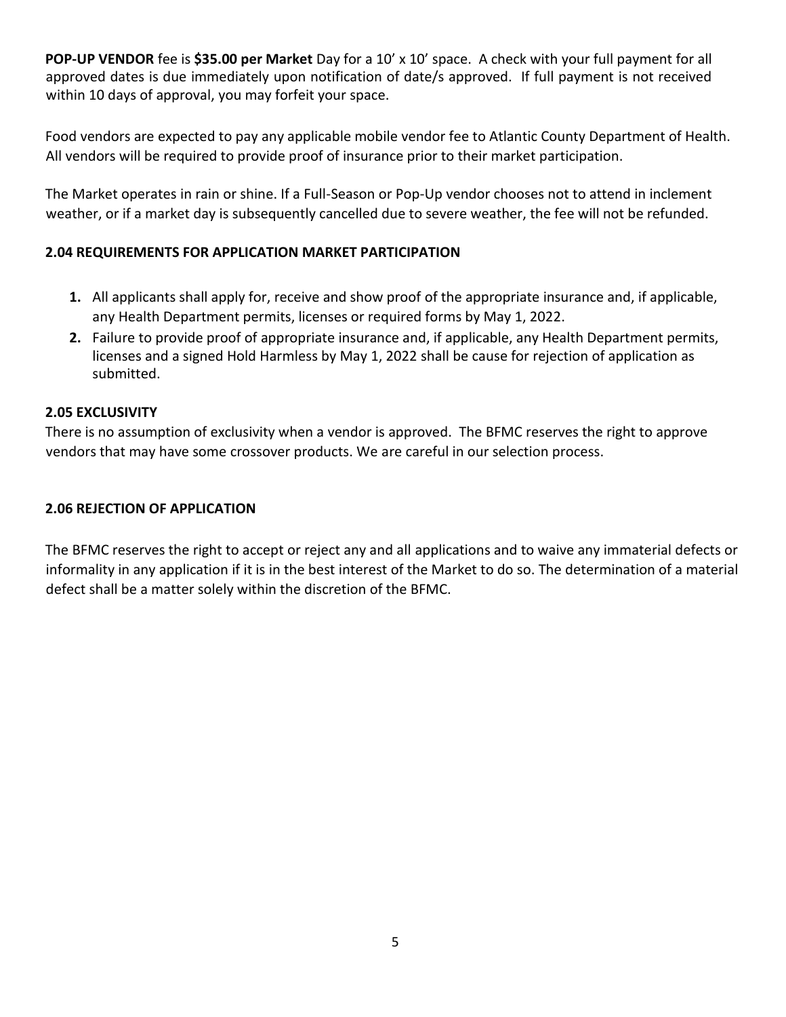**POP-UP VENDOR** fee is **\$35.00 per Market** Day for a 10' x 10' space. A check with your full payment for all approved dates is due immediately upon notification of date/s approved. If full payment is not received within 10 days of approval, you may forfeit your space.

Food vendors are expected to pay any applicable mobile vendor fee to Atlantic County Department of Health. All vendors will be required to provide proof of insurance prior to their market participation.

The Market operates in rain or shine. If a Full-Season or Pop-Up vendor chooses not to attend in inclement weather, or if a market day is subsequently cancelled due to severe weather, the fee will not be refunded.

### **2.04 REQUIREMENTS FOR APPLICATION MARKET PARTICIPATION**

- **1.** All applicants shall apply for, receive and show proof of the appropriate insurance and, if applicable, any Health Department permits, licenses or required forms by May 1, 2022.
- **2.** Failure to provide proof of appropriate insurance and, if applicable, any Health Department permits, licenses and a signed Hold Harmless by May 1, 2022 shall be cause for rejection of application as submitted.

### **2.05 EXCLUSIVITY**

There is no assumption of exclusivity when a vendor is approved. The BFMC reserves the right to approve vendors that may have some crossover products. We are careful in our selection process.

### **2.06 REJECTION OF APPLICATION**

The BFMC reserves the right to accept or reject any and all applications and to waive any immaterial defects or informality in any application if it is in the best interest of the Market to do so. The determination of a material defect shall be a matter solely within the discretion of the BFMC.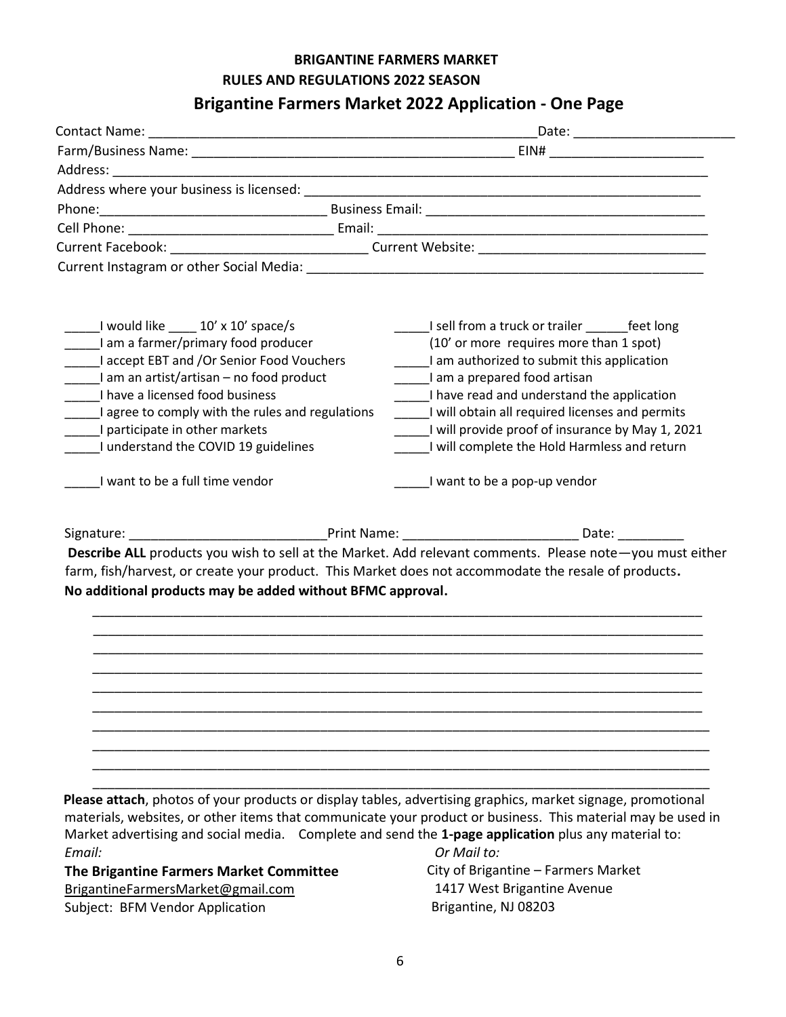### **BRIGANTINE FARMERS MARKET RULES AND REGULATIONS 2022 SEASON**

## **Brigantine Farmers Market 2022 Application - One Page**

| ______I would like ______ 10' x 10' space/s<br>I am a farmer/primary food producer<br>I accept EBT and /Or Senior Food Vouchers<br>I am an artist/artisan – no food product<br>I have a licensed food business<br>_____I agree to comply with the rules and regulations<br>I understand the COVID 19 guidelines<br>I want to be a full time vendor | I sell from a truck or trailer _______ feet long<br>(10' or more requires more than 1 spot)<br>I am authorized to submit this application<br>I am a prepared food artisan<br>_____I have read and understand the application<br>I will obtain all required licenses and permits<br>I will provide proof of insurance by May 1, 2021<br>I will complete the Hold Harmless and return<br>I want to be a pop-up vendor |
|----------------------------------------------------------------------------------------------------------------------------------------------------------------------------------------------------------------------------------------------------------------------------------------------------------------------------------------------------|---------------------------------------------------------------------------------------------------------------------------------------------------------------------------------------------------------------------------------------------------------------------------------------------------------------------------------------------------------------------------------------------------------------------|
|                                                                                                                                                                                                                                                                                                                                                    |                                                                                                                                                                                                                                                                                                                                                                                                                     |
| No additional products may be added without BFMC approval.                                                                                                                                                                                                                                                                                         | Describe ALL products you wish to sell at the Market. Add relevant comments. Please note-you must either<br>farm, fish/harvest, or create your product. This Market does not accommodate the resale of products.                                                                                                                                                                                                    |
|                                                                                                                                                                                                                                                                                                                                                    |                                                                                                                                                                                                                                                                                                                                                                                                                     |

**Please attach**, photos of your products or display tables, advertising graphics, market signage, promotional materials, websites, or other items that communicate your product or business. This material may be used in Market advertising and social media. Complete and send the **1-page application** plus any material to: *Email: Or Mail to:* 

**The Brigantine Farmers Market Committee** BrigantineFarmersMarket@gmail.com Subject: BFM Vendor Application

City of Brigantine – Farmers Market 1417 West Brigantine Avenue Brigantine, NJ 08203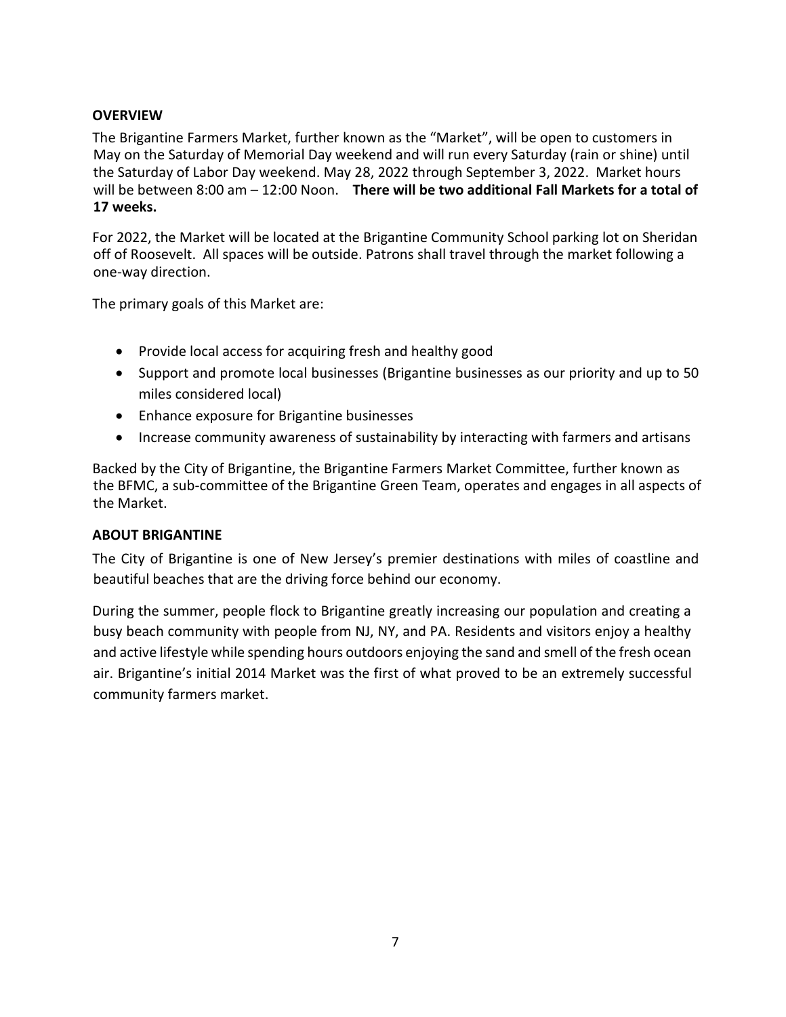### **OVERVIEW**

The Brigantine Farmers Market, further known as the "Market", will be open to customers in May on the Saturday of Memorial Day weekend and will run every Saturday (rain or shine) until the Saturday of Labor Day weekend. May 28, 2022 through September 3, 2022. Market hours will be between 8:00 am – 12:00 Noon. **There will be two additional Fall Markets for a total of 17 weeks.**

For 2022, the Market will be located at the Brigantine Community School parking lot on Sheridan off of Roosevelt. All spaces will be outside. Patrons shall travel through the market following a one-way direction.

The primary goals of this Market are:

- Provide local access for acquiring fresh and healthy good
- Support and promote local businesses (Brigantine businesses as our priority and up to 50 miles considered local)
- Enhance exposure for Brigantine businesses
- Increase community awareness of sustainability by interacting with farmers and artisans

Backed by the City of Brigantine, the Brigantine Farmers Market Committee, further known as the BFMC, a sub-committee of the Brigantine Green Team, operates and engages in all aspects of the Market.

#### **ABOUT BRIGANTINE**

The City of Brigantine is one of New Jersey's premier destinations with miles of coastline and beautiful beaches that are the driving force behind our economy.

During the summer, people flock to Brigantine greatly increasing our population and creating a busy beach community with people from NJ, NY, and PA. Residents and visitors enjoy a healthy and active lifestyle while spending hours outdoors enjoying the sand and smell of the fresh ocean air. Brigantine's initial 2014 Market was the first of what proved to be an extremely successful community farmers market.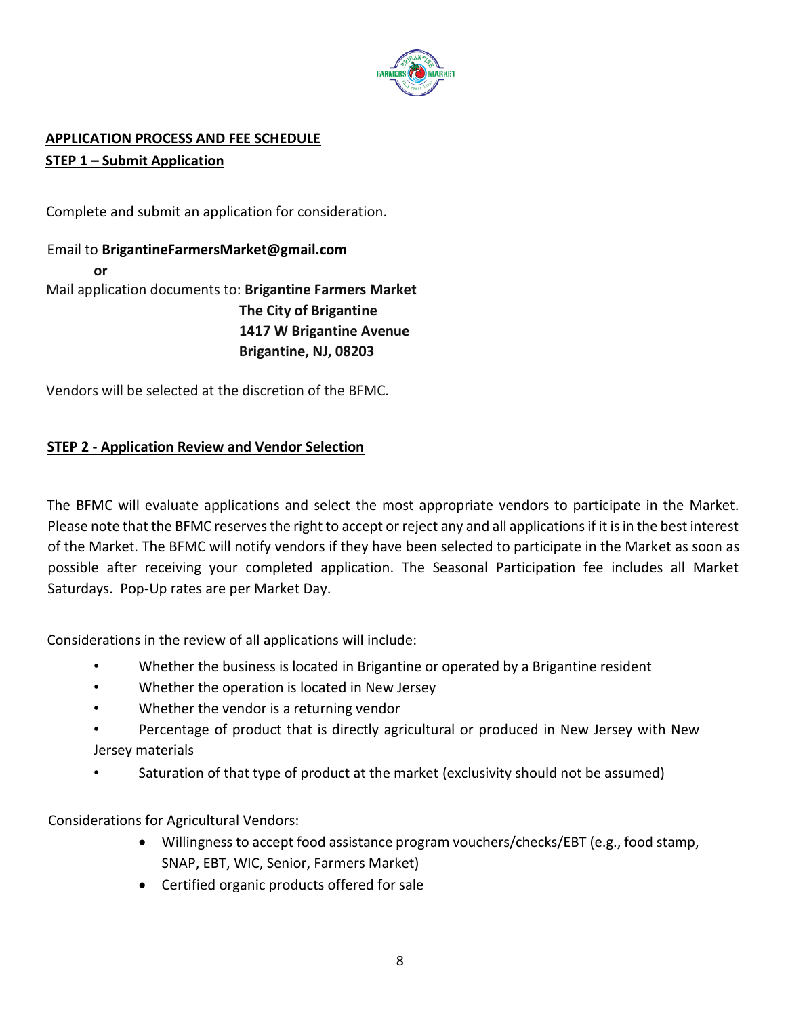

### **APPLICATION PROCESS AND FEE SCHEDULE STEP 1 – Submit Application**

Complete and submit an application for consideration.

Email to **BrigantineFarmersMarket@gmail.com or**  Mail application documents to: **Brigantine Farmers Market The City of Brigantine 1417 W Brigantine Avenue Brigantine, NJ, 08203**

Vendors will be selected at the discretion of the BFMC.

### **STEP 2 - Application Review and Vendor Selection**

The BFMC will evaluate applications and select the most appropriate vendors to participate in the Market. Please note that the BFMC reserves the right to accept or reject any and all applications if it is in the best interest of the Market. The BFMC will notify vendors if they have been selected to participate in the Market as soon as possible after receiving your completed application. The Seasonal Participation fee includes all Market Saturdays. Pop-Up rates are per Market Day.

Considerations in the review of all applications will include:

- Whether the business is located in Brigantine or operated by a Brigantine resident
- Whether the operation is located in New Jersey
- Whether the vendor is a returning vendor
- Percentage of product that is directly agricultural or produced in New Jersey with New Jersey materials
- Saturation of that type of product at the market (exclusivity should not be assumed)

Considerations for Agricultural Vendors:

- Willingness to accept food assistance program vouchers/checks/EBT (e.g., food stamp, SNAP, EBT, WIC, Senior, Farmers Market)
- Certified organic products offered for sale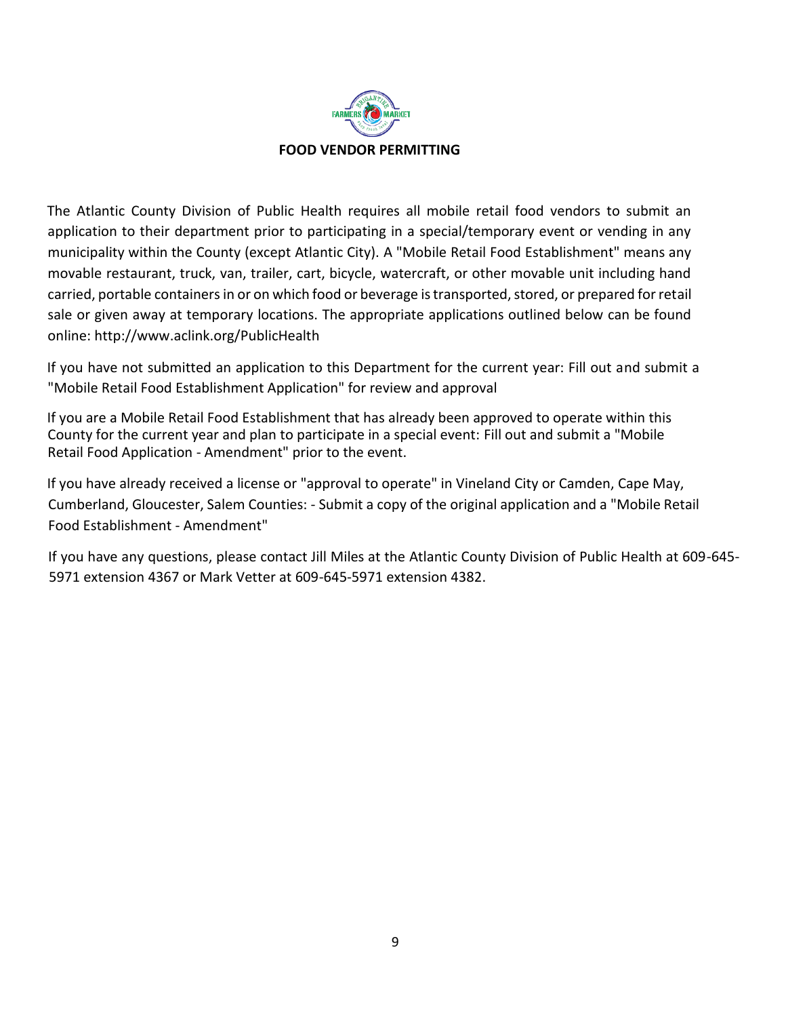

The Atlantic County Division of Public Health requires all mobile retail food vendors to submit an application to their department prior to participating in a special/temporary event or vending in any municipality within the County (except Atlantic City). A "Mobile Retail Food Establishment" means any movable restaurant, truck, van, trailer, cart, bicycle, watercraft, or other movable unit including hand carried, portable containers in or on which food or beverage is transported, stored, or prepared for retail sale or given away at [temporary locations. The appropriate applications outlined below can be found](http://www.aclink.org/PublicHealth)  [online:](http://www.aclink.org/PublicHealth) <http://www.aclink.org/PublicHealth>

If you have not submitted an application to this Department for the current year: Fill out and submit a "Mobile Retail Food Establishment Application" for review and approval

If you are a Mobile Retail Food Establishment that has already been approved to operate within this County for the current year and plan to participate in a special event: Fill out and submit a "Mobile Retail Food Application - Amendment" prior to the event.

If you have already received a license or "approval to operate" in Vineland City or Camden, Cape May, Cumberland, Gloucester, Salem Counties: - Submit a copy of the original application and a "Mobile Retail Food Establishment - Amendment"

If you have any questions, please contact Jill Miles at the Atlantic County Division of Public Health at 609-645- 5971 extension 4367 or Mark Vetter at 609-645-5971 extension 4382.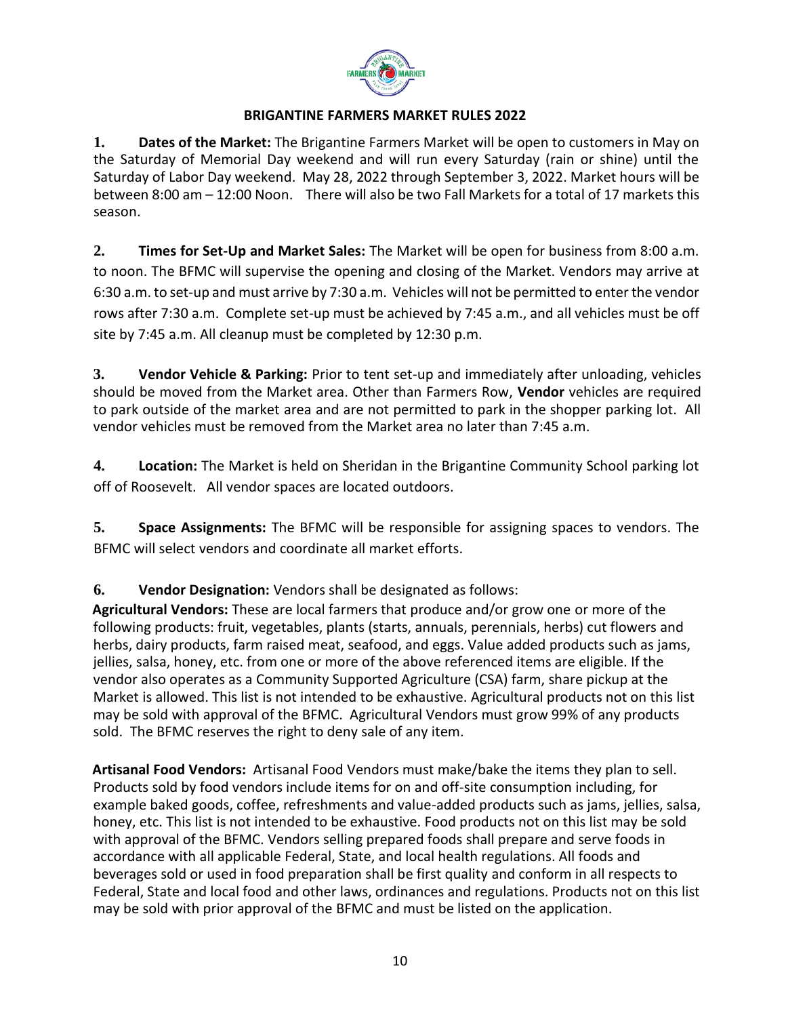

#### **BRIGANTINE FARMERS MARKET RULES 2022**

**1. Dates of the Market:** The Brigantine Farmers Market will be open to customers in May on the Saturday of Memorial Day weekend and will run every Saturday (rain or shine) until the Saturday of Labor Day weekend. May 28, 2022 through September 3, 2022. Market hours will be between 8:00 am – 12:00 Noon. There will also be two Fall Markets for a total of 17 markets this season.

**2. Times for Set-Up and Market Sales:** The Market will be open for business from 8:00 a.m. to noon. The BFMC will supervise the opening and closing of the Market. Vendors may arrive at 6:30 a.m. to set-up and must arrive by 7:30 a.m. Vehicles will not be permitted to enter the vendor rows after 7:30 a.m. Complete set-up must be achieved by 7:45 a.m., and all vehicles must be off site by 7:45 a.m. All cleanup must be completed by 12:30 p.m.

**3. Vendor Vehicle & Parking:** Prior to tent set-up and immediately after unloading, vehicles should be moved from the Market area. Other than Farmers Row, **Vendor** vehicles are required to park outside of the market area and are not permitted to park in the shopper parking lot. All vendor vehicles must be removed from the Market area no later than 7:45 a.m.

**4. Location:** The Market is held on Sheridan in the Brigantine Community School parking lot off of Roosevelt. All vendor spaces are located outdoors.

**5. Space Assignments:** The BFMC will be responsible for assigning spaces to vendors. The BFMC will select vendors and coordinate all market efforts.

**6. Vendor Designation:** Vendors shall be designated as follows:

**Agricultural Vendors:** These are local farmers that produce and/or grow one or more of the following products: fruit, vegetables, plants (starts, annuals, perennials, herbs) cut flowers and herbs, dairy products, farm raised meat, seafood, and eggs. Value added products such as jams, jellies, salsa, honey, etc. from one or more of the above referenced items are eligible. If the vendor also operates as a Community Supported Agriculture (CSA) farm, share pickup at the Market is allowed. This list is not intended to be exhaustive. Agricultural products not on this list may be sold with approval of the BFMC. Agricultural Vendors must grow 99% of any products sold. The BFMC reserves the right to deny sale of any item.

**Artisanal Food Vendors:** Artisanal Food Vendors must make/bake the items they plan to sell. Products sold by food vendors include items for on and off-site consumption including, for example baked goods, coffee, refreshments and value-added products such as jams, jellies, salsa, honey, etc. This list is not intended to be exhaustive. Food products not on this list may be sold with approval of the BFMC. Vendors selling prepared foods shall prepare and serve foods in accordance with all applicable Federal, State, and local health regulations. All foods and beverages sold or used in food preparation shall be first quality and conform in all respects to Federal, State and local food and other laws, ordinances and regulations. Products not on this list may be sold with prior approval of the BFMC and must be listed on the application.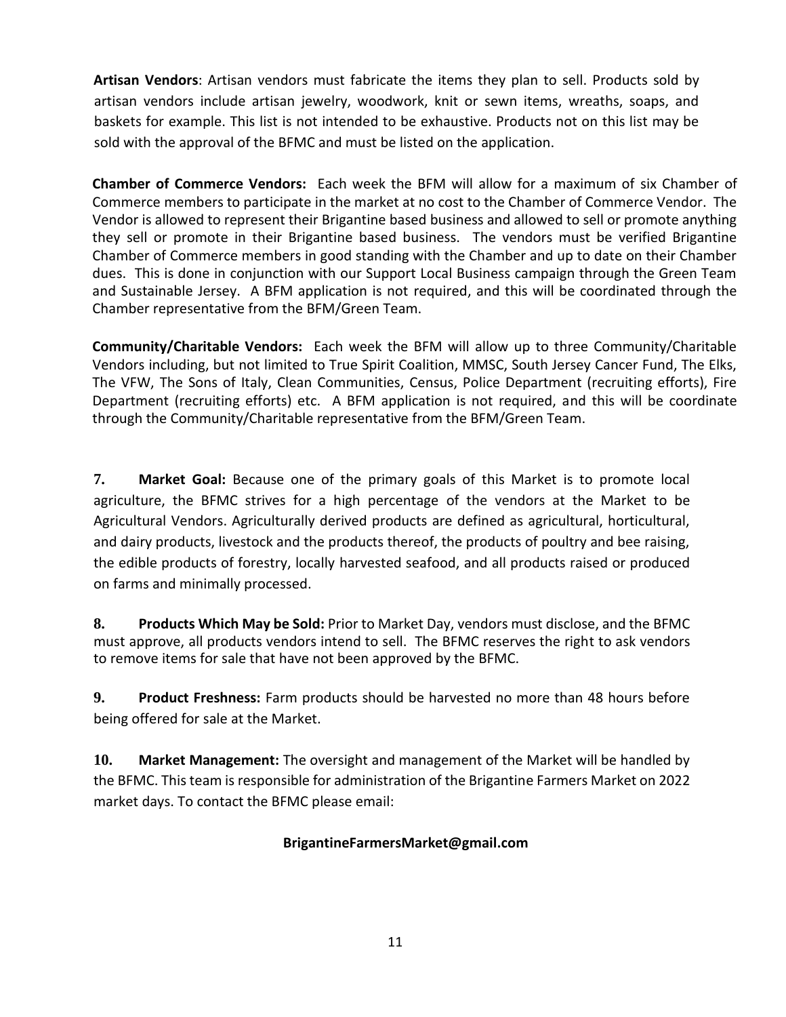**Artisan Vendors**: Artisan vendors must fabricate the items they plan to sell. Products sold by artisan vendors include artisan jewelry, woodwork, knit or sewn items, wreaths, soaps, and baskets for example. This list is not intended to be exhaustive. Products not on this list may be sold with the approval of the BFMC and must be listed on the application.

**Chamber of Commerce Vendors:** Each week the BFM will allow for a maximum of six Chamber of Commerce members to participate in the market at no cost to the Chamber of Commerce Vendor. The Vendor is allowed to represent their Brigantine based business and allowed to sell or promote anything they sell or promote in their Brigantine based business. The vendors must be verified Brigantine Chamber of Commerce members in good standing with the Chamber and up to date on their Chamber dues. This is done in conjunction with our Support Local Business campaign through the Green Team and Sustainable Jersey. A BFM application is not required, and this will be coordinated through the Chamber representative from the BFM/Green Team.

**Community/Charitable Vendors:** Each week the BFM will allow up to three Community/Charitable Vendors including, but not limited to True Spirit Coalition, MMSC, South Jersey Cancer Fund, The Elks, The VFW, The Sons of Italy, Clean Communities, Census, Police Department (recruiting efforts), Fire Department (recruiting efforts) etc. A BFM application is not required, and this will be coordinate through the Community/Charitable representative from the BFM/Green Team.

**7. Market Goal:** Because one of the primary goals of this Market is to promote local agriculture, the BFMC strives for a high percentage of the vendors at the Market to be Agricultural Vendors. Agriculturally derived products are defined as agricultural, horticultural, and dairy products, livestock and the products thereof, the products of poultry and bee raising, the edible products of forestry, locally harvested seafood, and all products raised or produced on farms and minimally processed.

**8. Products Which May be Sold:** Prior to Market Day, vendors must disclose, and the BFMC must approve, all products vendors intend to sell. The BFMC reserves the right to ask vendors to remove items for sale that have not been approved by the BFMC.

**9. Product Freshness:** Farm products should be harvested no more than 48 hours before being offered for sale at the Market.

**10. Market Management:** The oversight and management of the Market will be handled by the BFMC. This team is responsible for administration of the Brigantine Farmers Market on 2022 market days. To contact the BFMC please email:

### **BrigantineFarmersMarket@gmail.com**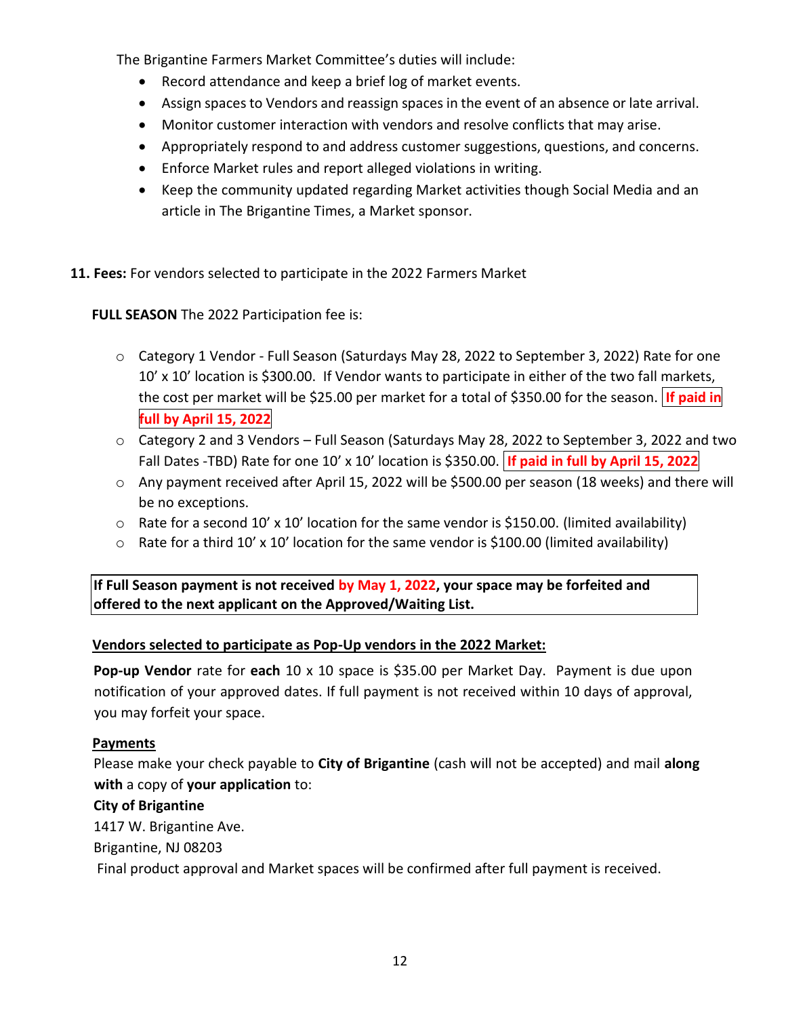The Brigantine Farmers Market Committee's duties will include:

- Record attendance and keep a brief log of market events.
- Assign spaces to Vendors and reassign spaces in the event of an absence or late arrival.
- Monitor customer interaction with vendors and resolve conflicts that may arise.
- Appropriately respond to and address customer suggestions, questions, and concerns.
- Enforce Market rules and report alleged violations in writing.
- Keep the community updated regarding Market activities though Social Media and an article in The Brigantine Times, a Market sponsor.

#### **11. Fees:** For vendors selected to participate in the 2022 Farmers Market

**FULL SEASON** The 2022 Participation fee is:

- o Category 1 Vendor Full Season (Saturdays May 28, 2022 to September 3, 2022) Rate for one 10' x 10' location is \$300.00. If Vendor wants to participate in either of the two fall markets, the cost per market will be \$25.00 per market for a total of \$350.00 for the season. **If paid in full by April 15, 2022**
- o Category 2 and 3 Vendors Full Season (Saturdays May 28, 2022 to September 3, 2022 and two Fall Dates -TBD) Rate for one 10' x 10' location is \$350.00. **If paid in full by April 15, 2022**
- o Any payment received after April 15, 2022 will be \$500.00 per season (18 weeks) and there will be no exceptions.
- $\circ$  Rate for a second 10' x 10' location for the same vendor is \$150.00. (limited availability)
- $\circ$  Rate for a third 10' x 10' location for the same vendor is \$100.00 (limited availability)

**If Full Season payment is not received by May 1, 2022, your space may be forfeited and offered to the next applicant on the Approved/Waiting List.** 

### **Vendors selected to participate as Pop-Up vendors in the 2022 Market:**

**Pop-up Vendor** rate for **each** 10 x 10 space is \$35.00 per Market Day. Payment is due upon notification of your approved dates. If full payment is not received within 10 days of approval, you may forfeit your space.

#### **Payments**

Please make your check payable to **City of Brigantine** (cash will not be accepted) and mail **along with** a copy of **your application** to:

### **City of Brigantine**

1417 W. Brigantine Ave.

Brigantine, NJ 08203

Final product approval and Market spaces will be confirmed after full payment is received.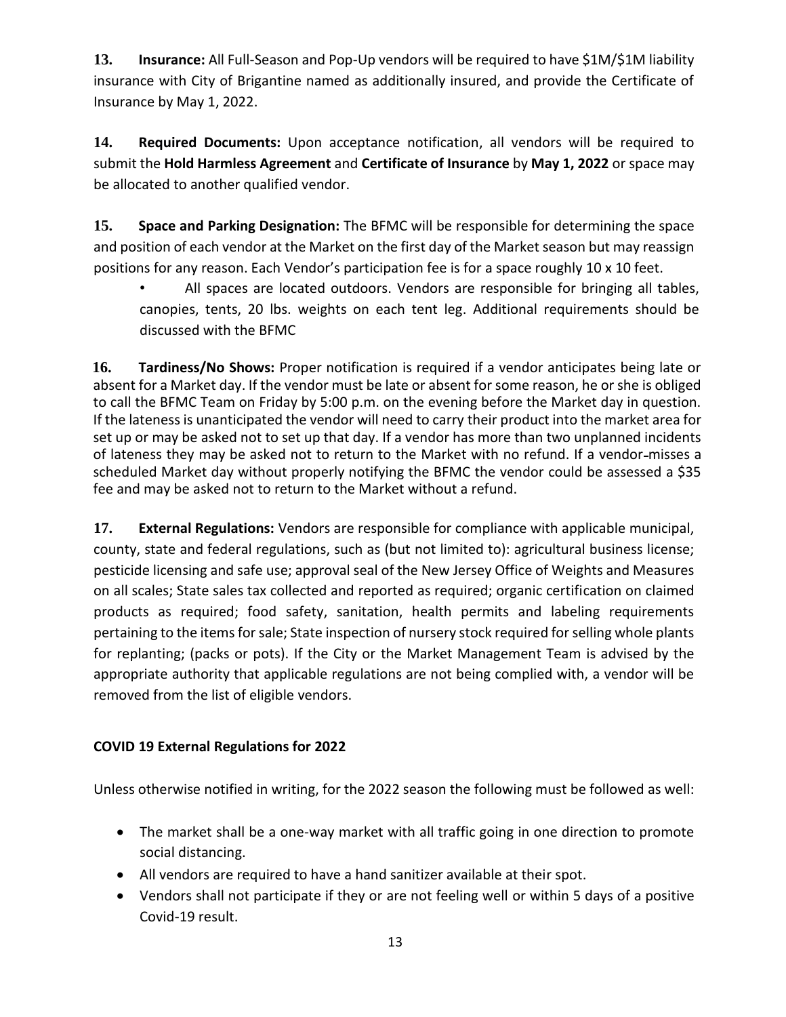**13. Insurance:** All Full-Season and Pop-Up vendors will be required to have \$1M/\$1M liability insurance with City of Brigantine named as additionally insured, and provide the Certificate of Insurance by May 1, 2022.

**14. Required Documents:** Upon acceptance notification, all vendors will be required to submit the **Hold Harmless Agreement** and **Certificate of Insurance** by **May 1, 2022** or space may be allocated to another qualified vendor.

**15. Space and Parking Designation:** The BFMC will be responsible for determining the space and position of each vendor at the Market on the first day of the Market season but may reassign positions for any reason. Each Vendor's participation fee is for a space roughly 10 x 10 feet.

• All spaces are located outdoors. Vendors are responsible for bringing all tables, canopies, tents, 20 lbs. weights on each tent leg. Additional requirements should be discussed with the BFMC

**16. Tardiness/No Shows:** Proper notification is required if a vendor anticipates being late or absent for a Market day. If the vendor must be late or absent for some reason, he or she is obliged to call the BFMC Team on Friday by 5:00 p.m. on the evening before the Market day in question. If the lateness is unanticipated the vendor will need to carry their product into the market area for set up or may be asked not to set up that day. If a vendor has more than two unplanned incidents of lateness they may be asked not to return to the Market with no refund. If a vendor-misses a scheduled Market day without properly notifying the BFMC the vendor could be assessed a \$35 fee and may be asked not to return to the Market without a refund.

**17. External Regulations:** Vendors are responsible for compliance with applicable municipal, county, state and federal regulations, such as (but not limited to): agricultural business license; pesticide licensing and safe use; approval seal of the New Jersey Office of Weights and Measures on all scales; State sales tax collected and reported as required; organic certification on claimed products as required; food safety, sanitation, health permits and labeling requirements pertaining to the items for sale; State inspection of nursery stock required for selling whole plants for replanting; (packs or pots). If the City or the Market Management Team is advised by the appropriate authority that applicable regulations are not being complied with, a vendor will be removed from the list of eligible vendors.

### **COVID 19 External Regulations for 2022**

Unless otherwise notified in writing, for the 2022 season the following must be followed as well:

- The market shall be a one-way market with all traffic going in one direction to promote social distancing.
- All vendors are required to have a hand sanitizer available at their spot.
- Vendors shall not participate if they or are not feeling well or within 5 days of a positive Covid-19 result.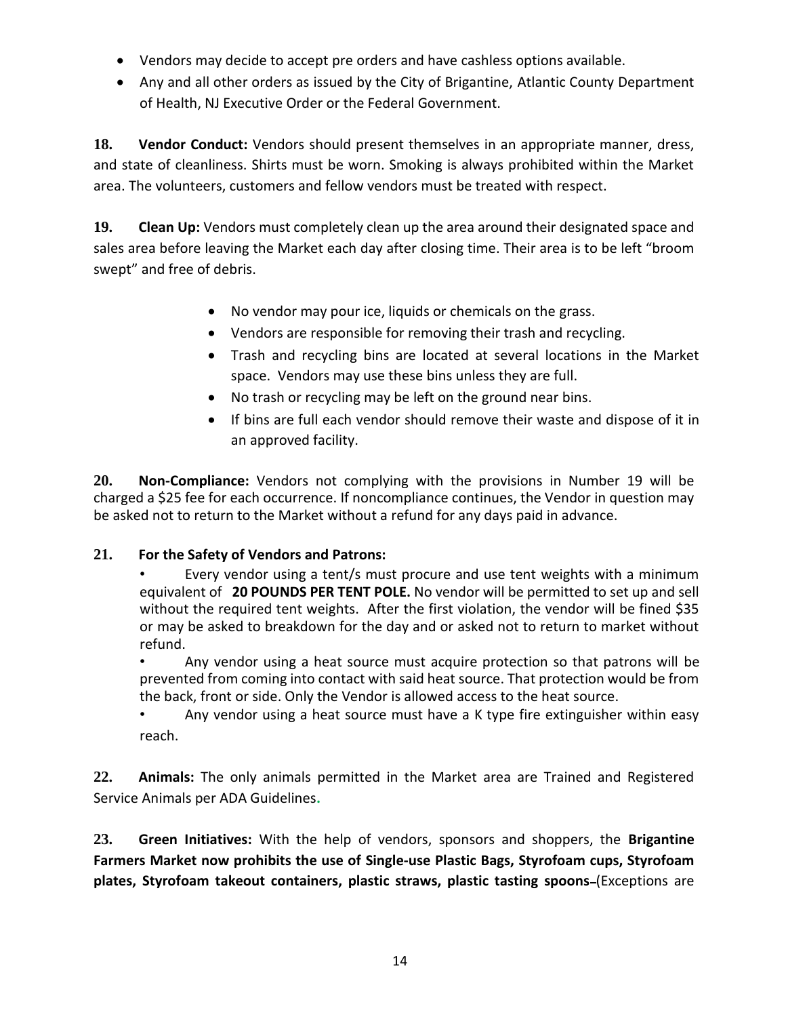- Vendors may decide to accept pre orders and have cashless options available.
- Any and all other orders as issued by the City of Brigantine, Atlantic County Department of Health, NJ Executive Order or the Federal Government.

**18. Vendor Conduct:** Vendors should present themselves in an appropriate manner, dress, and state of cleanliness. Shirts must be worn. Smoking is always prohibited within the Market area. The volunteers, customers and fellow vendors must be treated with respect.

**19. Clean Up:** Vendors must completely clean up the area around their designated space and sales area before leaving the Market each day after closing time. Their area is to be left "broom swept" and free of debris.

- No vendor may pour ice, liquids or chemicals on the grass.
- Vendors are responsible for removing their trash and recycling.
- Trash and recycling bins are located at several locations in the Market space. Vendors may use these bins unless they are full.
- No trash or recycling may be left on the ground near bins.
- If bins are full each vendor should remove their waste and dispose of it in an approved facility.

**20. Non-Compliance:** Vendors not complying with the provisions in Number 19 will be charged a \$25 fee for each occurrence. If noncompliance continues, the Vendor in question may be asked not to return to the Market without a refund for any days paid in advance.

### **21. For the Safety of Vendors and Patrons:**

• Every vendor using a tent/s must procure and use tent weights with a minimum equivalent of **20 POUNDS PER TENT POLE.** No vendor will be permitted to set up and sell without the required tent weights. After the first violation, the vendor will be fined \$35 or may be asked to breakdown for the day and or asked not to return to market without refund.

• Any vendor using a heat source must acquire protection so that patrons will be prevented from coming into contact with said heat source. That protection would be from the back, front or side. Only the Vendor is allowed access to the heat source.

• Any vendor using a heat source must have a K type fire extinguisher within easy reach.

**22. Animals:** The only animals permitted in the Market area are Trained and Registered Service Animals per ADA Guidelines**.** 

**23. Green Initiatives:** With the help of vendors, sponsors and shoppers, the **Brigantine Farmers Market now prohibits the use of Single-use Plastic Bags, Styrofoam cups, Styrofoam**  plates, Styrofoam takeout containers, plastic straws, plastic tasting spoons-(Exceptions are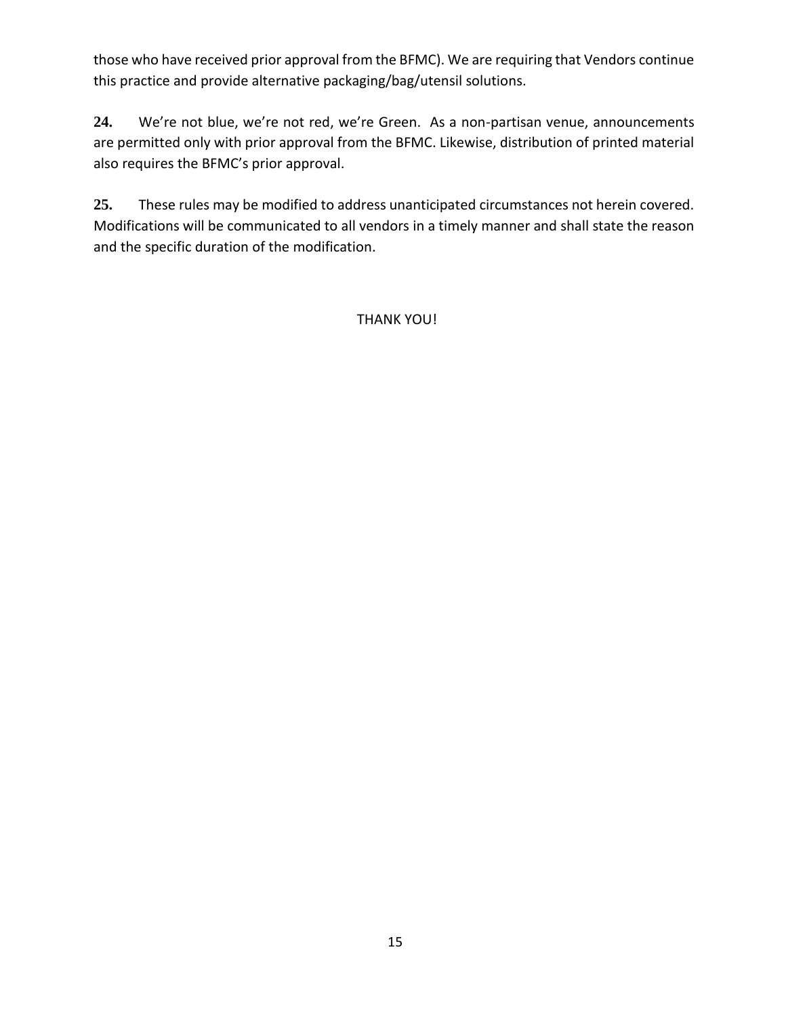those who have received prior approval from the BFMC). We are requiring that Vendors continue this practice and provide alternative packaging/bag/utensil solutions.

**24.** We're not blue, we're not red, we're Green. As a non-partisan venue, announcements are permitted only with prior approval from the BFMC. Likewise, distribution of printed material also requires the BFMC's prior approval.

**25.** These rules may be modified to address unanticipated circumstances not herein covered. Modifications will be communicated to all vendors in a timely manner and shall state the reason and the specific duration of the modification.

THANK YOU!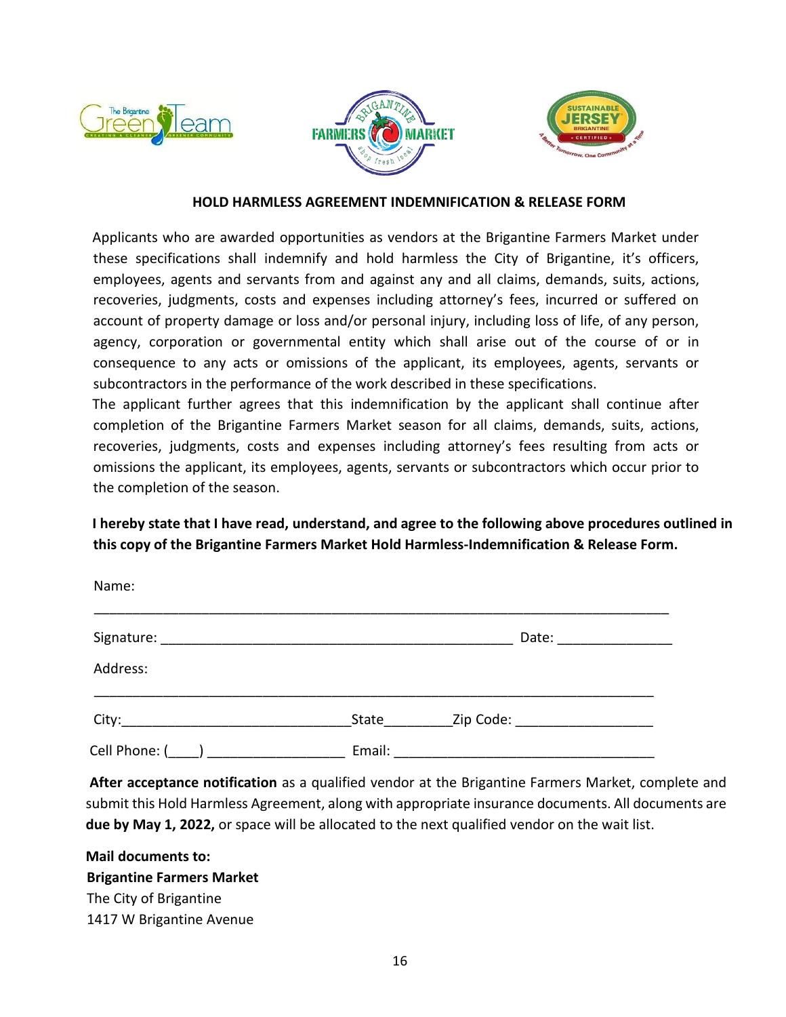





#### **HOLD HARMLESS AGREEMENT INDEMNIFICATION & RELEASE FORM**

Applicants who are awarded opportunities as vendors at the Brigantine Farmers Market under these specifications shall indemnify and hold harmless the City of Brigantine, it's officers, employees, agents and servants from and against any and all claims, demands, suits, actions, recoveries, judgments, costs and expenses including attorney's fees, incurred or suffered on account of property damage or loss and/or personal injury, including loss of life, of any person, agency, corporation or governmental entity which shall arise out of the course of or in consequence to any acts or omissions of the applicant, its employees, agents, servants or subcontractors in the performance of the work described in these specifications.

The applicant further agrees that this indemnification by the applicant shall continue after completion of the Brigantine Farmers Market season for all claims, demands, suits, actions, recoveries, judgments, costs and expenses including attorney's fees resulting from acts or omissions the applicant, its employees, agents, servants or subcontractors which occur prior to the completion of the season.

**I hereby state that I have read, understand, and agree to the following above procedures outlined in this copy of the Brigantine Farmers Market Hold Harmless-Indemnification & Release Form.** 

| Name:         |        |                                                                                                                                                                                                                                |  |
|---------------|--------|--------------------------------------------------------------------------------------------------------------------------------------------------------------------------------------------------------------------------------|--|
|               |        | Date: the contract of the contract of the contract of the contract of the contract of the contract of the contract of the contract of the contract of the contract of the contract of the contract of the contract of the cont |  |
| Address:      |        |                                                                                                                                                                                                                                |  |
|               | State  | Zip Code: The Contract of the Contract of the Code:                                                                                                                                                                            |  |
| Cell Phone: ( | Email: |                                                                                                                                                                                                                                |  |

**After acceptance notification** as a qualified vendor at the Brigantine Farmers Market, complete and submit this Hold Harmless Agreement, along with appropriate insurance documents. All documents are **due by May 1, 2022,** or space will be allocated to the next qualified vendor on the wait list.

**Mail documents to: Brigantine Farmers Market** The City of Brigantine 1417 W Brigantine Avenue